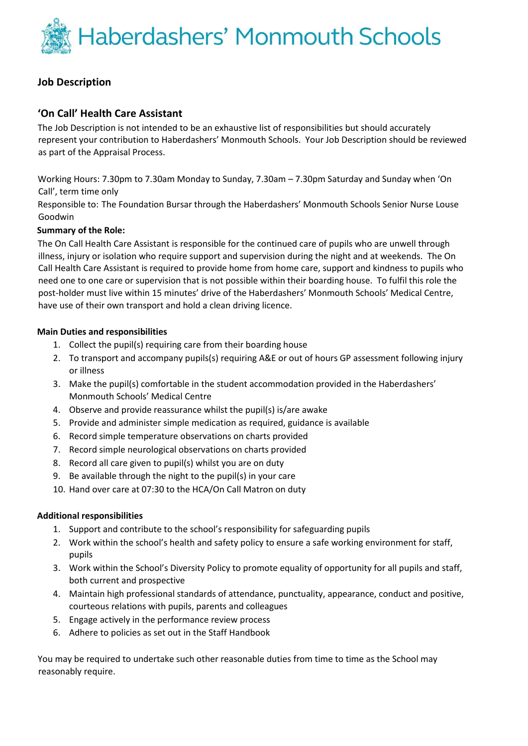Haberdashers' Monmouth Schools

## **Job Description**

## **'On Call' Health Care Assistant**

The Job Description is not intended to be an exhaustive list of responsibilities but should accurately represent your contribution to Haberdashers' Monmouth Schools. Your Job Description should be reviewed as part of the Appraisal Process.

Working Hours: 7.30pm to 7.30am Monday to Sunday, 7.30am – 7.30pm Saturday and Sunday when 'On Call', term time only

Responsible to: The Foundation Bursar through the Haberdashers' Monmouth Schools Senior Nurse Louse Goodwin

### **Summary of the Role:**

The On Call Health Care Assistant is responsible for the continued care of pupils who are unwell through illness, injury or isolation who require support and supervision during the night and at weekends. The On Call Health Care Assistant is required to provide home from home care, support and kindness to pupils who need one to one care or supervision that is not possible within their boarding house. To fulfil this role the post-holder must live within 15 minutes' drive of the Haberdashers' Monmouth Schools' Medical Centre, have use of their own transport and hold a clean driving licence.

#### **Main Duties and responsibilities**

- 1. Collect the pupil(s) requiring care from their boarding house
- 2. To transport and accompany pupils(s) requiring A&E or out of hours GP assessment following injury or illness
- 3. Make the pupil(s) comfortable in the student accommodation provided in the Haberdashers' Monmouth Schools' Medical Centre
- 4. Observe and provide reassurance whilst the pupil(s) is/are awake
- 5. Provide and administer simple medication as required, guidance is available
- 6. Record simple temperature observations on charts provided
- 7. Record simple neurological observations on charts provided
- 8. Record all care given to pupil(s) whilst you are on duty
- 9. Be available through the night to the pupil(s) in your care
- 10. Hand over care at 07:30 to the HCA/On Call Matron on duty

#### **Additional responsibilities**

- 1. Support and contribute to the school's responsibility for safeguarding pupils
- 2. Work within the school's health and safety policy to ensure a safe working environment for staff, pupils
- 3. Work within the School's Diversity Policy to promote equality of opportunity for all pupils and staff, both current and prospective
- 4. Maintain high professional standards of attendance, punctuality, appearance, conduct and positive, courteous relations with pupils, parents and colleagues
- 5. Engage actively in the performance review process
- 6. Adhere to policies as set out in the Staff Handbook

You may be required to undertake such other reasonable duties from time to time as the School may reasonably require.